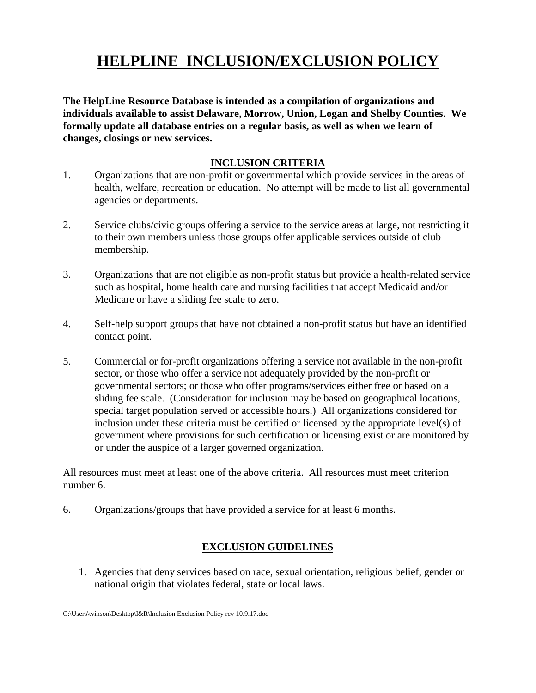## **HELPLINE INCLUSION/EXCLUSION POLICY**

**The HelpLine Resource Database is intended as a compilation of organizations and individuals available to assist Delaware, Morrow, Union, Logan and Shelby Counties. We formally update all database entries on a regular basis, as well as when we learn of changes, closings or new services.** 

## **INCLUSION CRITERIA**

- 1. Organizations that are non-profit or governmental which provide services in the areas of health, welfare, recreation or education. No attempt will be made to list all governmental agencies or departments.
- 2. Service clubs/civic groups offering a service to the service areas at large, not restricting it to their own members unless those groups offer applicable services outside of club membership.
- 3. Organizations that are not eligible as non-profit status but provide a health-related service such as hospital, home health care and nursing facilities that accept Medicaid and/or Medicare or have a sliding fee scale to zero.
- 4. Self-help support groups that have not obtained a non-profit status but have an identified contact point.
- 5. Commercial or for-profit organizations offering a service not available in the non-profit sector, or those who offer a service not adequately provided by the non-profit or governmental sectors; or those who offer programs/services either free or based on a sliding fee scale. (Consideration for inclusion may be based on geographical locations, special target population served or accessible hours.) All organizations considered for inclusion under these criteria must be certified or licensed by the appropriate level(s) of government where provisions for such certification or licensing exist or are monitored by or under the auspice of a larger governed organization.

All resources must meet at least one of the above criteria. All resources must meet criterion number 6.

6. Organizations/groups that have provided a service for at least 6 months.

## **EXCLUSION GUIDELINES**

1. Agencies that deny services based on race, sexual orientation, religious belief, gender or national origin that violates federal, state or local laws.